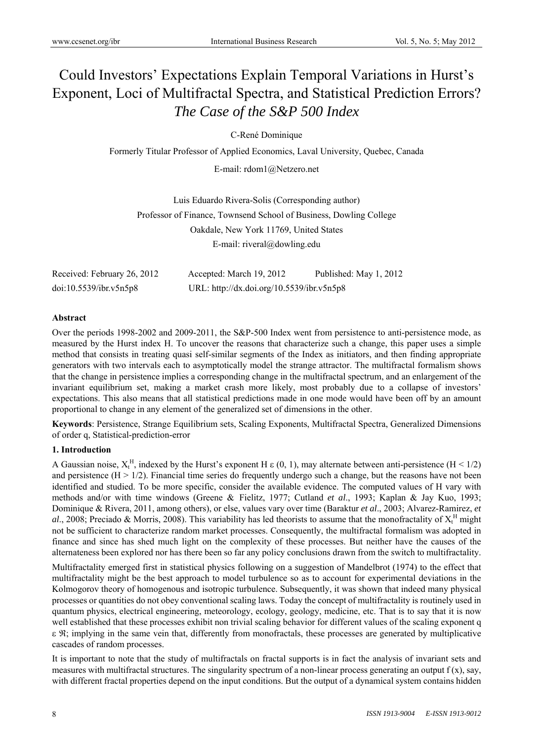# Could Investors' Expectations Explain Temporal Variations in Hurst's Exponent, Loci of Multifractal Spectra, and Statistical Prediction Errors? *The Case of the S&P 500 Index*

C-René Dominique

Formerly Titular Professor of Applied Economics, Laval University, Quebec, Canada

E-mail: rdom1@Netzero.net

Luis Eduardo Rivera-Solis (Corresponding author) Professor of Finance, Townsend School of Business, Dowling College Oakdale, New York 11769, United States E-mail: riveral@dowling.edu

| Received: February 26, 2012 | Accepted: March 19, 2012                  | Published: May 1, 2012 |
|-----------------------------|-------------------------------------------|------------------------|
| doi:10.5539/ibr.v5n5p8      | URL: http://dx.doi.org/10.5539/ibr.v5n5p8 |                        |

## **Abstract**

Over the periods 1998-2002 and 2009-2011, the S&P-500 Index went from persistence to anti-persistence mode, as measured by the Hurst index H. To uncover the reasons that characterize such a change, this paper uses a simple method that consists in treating quasi self-similar segments of the Index as initiators, and then finding appropriate generators with two intervals each to asymptotically model the strange attractor. The multifractal formalism shows that the change in persistence implies a corresponding change in the multifractal spectrum, and an enlargement of the invariant equilibrium set, making a market crash more likely, most probably due to a collapse of investors' expectations. This also means that all statistical predictions made in one mode would have been off by an amount proportional to change in any element of the generalized set of dimensions in the other.

**Keywords**: Persistence, Strange Equilibrium sets, Scaling Exponents, Multifractal Spectra, Generalized Dimensions of order q, Statistical-prediction-error

### **1. Introduction**

A Gaussian noise,  $X_t^H$ , indexed by the Hurst's exponent H  $\epsilon$  (0, 1), may alternate between anti-persistence (H < 1/2) and persistence  $(H > 1/2)$ . Financial time series do frequently undergo such a change, but the reasons have not been identified and studied. To be more specific, consider the available evidence. The computed values of H vary with methods and/or with time windows (Greene & Fielitz, 1977; Cutland *et al*., 1993; Kaplan & Jay Kuo, 1993; Dominique & Rivera, 2011, among others), or else, values vary over time (Baraktur *et al*., 2003; Alvarez-Ramirez, *et*  al., 2008; Preciado & Morris, 2008). This variability has led theorists to assume that the monofractality of  $X_t^H$  might not be sufficient to characterize random market processes. Consequently, the multifractal formalism was adopted in finance and since has shed much light on the complexity of these processes. But neither have the causes of the alternateness been explored nor has there been so far any policy conclusions drawn from the switch to multifractality.

Multifractality emerged first in statistical physics following on a suggestion of Mandelbrot (1974) to the effect that multifractality might be the best approach to model turbulence so as to account for experimental deviations in the Kolmogorov theory of homogenous and isotropic turbulence. Subsequently, it was shown that indeed many physical processes or quantities do not obey conventional scaling laws. Today the concept of multifractality is routinely used in quantum physics, electrical engineering, meteorology, ecology, geology, medicine, etc. That is to say that it is now well established that these processes exhibit non trivial scaling behavior for different values of the scaling exponent q  $\epsilon$   $\mathfrak{R}$ ; implying in the same vein that, differently from monofractals, these processes are generated by multiplicative cascades of random processes.

It is important to note that the study of multifractals on fractal supports is in fact the analysis of invariant sets and measures with multifractal structures. The singularity spectrum of a non-linear process generating an output  $f(x)$ , say, with different fractal properties depend on the input conditions. But the output of a dynamical system contains hidden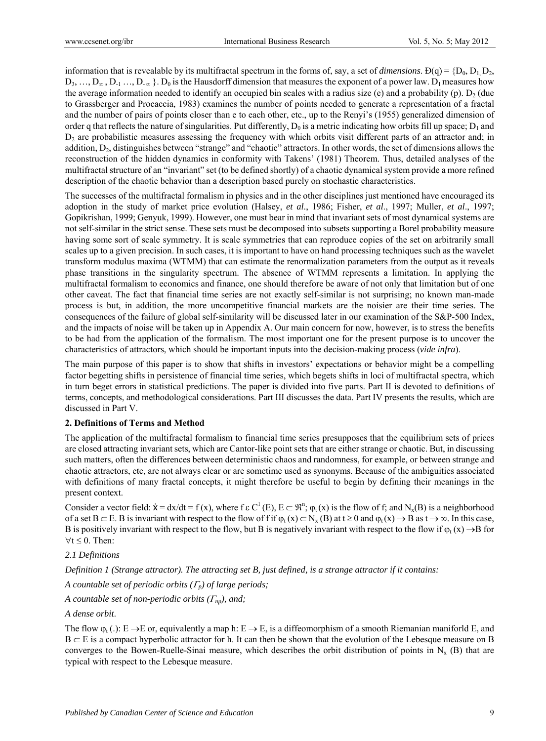information that is revealable by its multifractal spectrum in the forms of, say, a set of *dimensions*.  $D(q) = \{D_0, D_1, D_2, D_2, D_3, D_4, D_5, D_6, D_6, D_7, D_8, D_8, D_9, D_9, D_1, D_2, D_4, D_6, D_7, D_8, D_8, D_9, D_9, D_1, D_1, D_2, D_3, D$  $D_3, \ldots, D_{\infty}, D_1, \ldots, D_{\infty}$ .  $D_0$  is the Hausdorff dimension that measures the exponent of a power law.  $D_1$  measures how the average information needed to identify an occupied bin scales with a radius size (e) and a probability (p).  $D_2$  (due to Grassberger and Procaccia, 1983) examines the number of points needed to generate a representation of a fractal and the number of pairs of points closer than e to each other, etc., up to the Renyi's (1955) generalized dimension of order q that reflects the nature of singularities. Put differently,  $D_0$  is a metric indicating how orbits fill up space;  $D_1$  and D2 are probabilistic measures assessing the frequency with which orbits visit different parts of an attractor and; in addition,  $D_2$ , distinguishes between "strange" and "chaotic" attractors. In other words, the set of dimensions allows the reconstruction of the hidden dynamics in conformity with Takens' (1981) Theorem. Thus, detailed analyses of the multifractal structure of an "invariant" set (to be defined shortly) of a chaotic dynamical system provide a more refined description of the chaotic behavior than a description based purely on stochastic characteristics.

The successes of the multifractal formalism in physics and in the other disciplines just mentioned have encouraged its adoption in the study of market price evolution (Halsey, *et al*., 1986; Fisher, *et al*., 1997; Muller, *et al*., 1997; Gopikrishan, 1999; Genyuk, 1999). However, one must bear in mind that invariant sets of most dynamical systems are not self-similar in the strict sense. These sets must be decomposed into subsets supporting a Borel probability measure having some sort of scale symmetry. It is scale symmetries that can reproduce copies of the set on arbitrarily small scales up to a given precision. In such cases, it is important to have on hand processing techniques such as the wavelet transform modulus maxima (WTMM) that can estimate the renormalization parameters from the output as it reveals phase transitions in the singularity spectrum. The absence of WTMM represents a limitation. In applying the multifractal formalism to economics and finance, one should therefore be aware of not only that limitation but of one other caveat. The fact that financial time series are not exactly self-similar is not surprising; no known man-made process is but, in addition, the more uncompetitive financial markets are the noisier are their time series. The consequences of the failure of global self-similarity will be discussed later in our examination of the S&P-500 Index, and the impacts of noise will be taken up in Appendix A. Our main concern for now, however, is to stress the benefits to be had from the application of the formalism. The most important one for the present purpose is to uncover the characteristics of attractors, which should be important inputs into the decision-making process (*vide infra*).

The main purpose of this paper is to show that shifts in investors' expectations or behavior might be a compelling factor begetting shifts in persistence of financial time series, which begets shifts in loci of multifractal spectra, which in turn beget errors in statistical predictions. The paper is divided into five parts. Part II is devoted to definitions of terms, concepts, and methodological considerations. Part III discusses the data. Part IV presents the results, which are discussed in Part V.

### **2. Definitions of Terms and Method**

The application of the multifractal formalism to financial time series presupposes that the equilibrium sets of prices are closed attracting invariant sets, which are Cantor-like point sets that are either strange or chaotic. But, in discussing such matters, often the differences between deterministic chaos and randomness, for example, or between strange and chaotic attractors, etc, are not always clear or are sometime used as synonyms. Because of the ambiguities associated with definitions of many fractal concepts, it might therefore be useful to begin by defining their meanings in the present context.

Consider a vector field:  $\dot{x} = dx/dt = f(x)$ , where  $f \in C^1(E)$ ,  $E \subset \mathbb{R}^n$ ;  $\varphi_t(x)$  is the flow of f; and N<sub>x</sub>(B) is a neighborhood of a set  $B \subset E$ . B is invariant with respect to the flow of f if  $\varphi_t(x) \subset N_x(B)$  at  $t \ge 0$  and  $\varphi_t(x) \to B$  as  $t \to \infty$ . In this case, B is positively invariant with respect to the flow, but B is negatively invariant with respect to the flow if  $\varphi_t(x) \rightarrow B$  for  $\forall t \leq 0$ . Then:

### *2.1 Definitions*

*Definition 1 (Strange attractor). The attracting set B, just defined, is a strange attractor if it contains:* 

*A countable set of periodic orbits*  $(F_p)$  *of large periods;* 

*A countable set of non-periodic orbits*  $(\Gamma_{np})$ *, and;* 

*A dense orbit*.

The flow  $\varphi_t$  (.): E  $\to$  E or, equivalently a map h: E  $\to$  E, is a diffeomorphism of a smooth Riemanian maniforld E, and  $B \subset E$  is a compact hyperbolic attractor for h. It can then be shown that the evolution of the Lebesque measure on B converges to the Bowen-Ruelle-Sinai measure, which describes the orbit distribution of points in  $N_x$  (B) that are typical with respect to the Lebesque measure.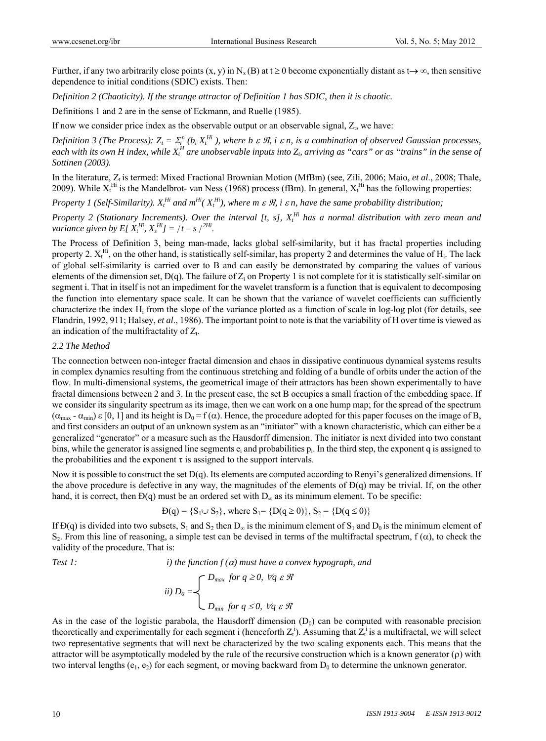Further, if any two arbitrarily close points  $(x, y)$  in  $N_x(B)$  at  $t \ge 0$  become exponentially distant as  $t \to \infty$ , then sensitive dependence to initial conditions (SDIC) exists. Then:

*Definition 2 (Chaoticity). If the strange attractor of Definition 1 has SDIC, then it is chaotic.* 

Definitions 1 and 2 are in the sense of Eckmann, and Ruelle (1985).

If now we consider price index as the observable output or an observable signal,  $Z_t$ , we have:

*Definition 3 (The Process):*  $Z_t = \sum_i^n (b_i X_t^{Hi})$ , where b  $\varepsilon \mathcal{R}$ , i  $\varepsilon n$ , is a combination of observed Gaussian processes, each with its own H index, while  $X_t^H$  are unobservable inputs into  $Z_b$  arriving as "cars" or as "trains" in the sense of *Sottinen (2003).*

In the literature, Z<sub>t</sub> is termed: Mixed Fractional Brownian Motion (MfBm) (see, Zili, 2006; Maio, *et al.*, 2008; Thale, 2009). While  $X_t^{Hi}$  is the Mandelbrot- van Ness (1968) process (fBm). In general,  $X_t^{Hi}$  has the following properties:

*Property 1 (Self-Similarity).*  $X_t^{Hi}$  and  $m^{Hi}$  ( $X_t^{Hi}$ ), where  $m \in \mathcal{R}$ , *i*  $\varepsilon$  *n*, have the same probability distribution;

Property 2 (Stationary Increments). Over the interval [t, s],  $X_t^{Hi}$  has a normal distribution with zero mean and *variance given by E[* $X_t^{Hi}$ ,  $X_s^{Hi}$ ] =  $/t - s$   $\big)^{2Hi}$ .

The Process of Definition 3, being man-made, lacks global self-similarity, but it has fractal properties including property 2.  $X_t^{Hi}$ , on the other hand, is statistically self-similar, has property 2 and determines the value of  $H_i$ . The lack of global self-similarity is carried over to B and can easily be demonstrated by comparing the values of various elements of the dimension set,  $D(q)$ . The failure of  $Z_t$  on Property 1 is not complete for it is statistically self-similar on segment i. That in itself is not an impediment for the wavelet transform is a function that is equivalent to decomposing the function into elementary space scale. It can be shown that the variance of wavelet coefficients can sufficiently characterize the index  $H_i$  from the slope of the variance plotted as a function of scale in log-log plot (for details, see Flandrin, 1992, 911; Halsey, *et al*., 1986). The important point to note is that the variability of H over time is viewed as an indication of the multifractality of  $Z_t$ .

#### *2.2 The Method*

The connection between non-integer fractal dimension and chaos in dissipative continuous dynamical systems results in complex dynamics resulting from the continuous stretching and folding of a bundle of orbits under the action of the flow. In multi-dimensional systems, the geometrical image of their attractors has been shown experimentally to have fractal dimensions between 2 and 3. In the present case, the set B occupies a small fraction of the embedding space. If we consider its singularity spectrum as its image, then we can work on a one hump map; for the spread of the spectrum  $(\alpha_{\text{max}} - \alpha_{\text{min}}) \varepsilon [0, 1]$  and its height is  $D_0 = f(\alpha)$ . Hence, the procedure adopted for this paper focuses on the image of B, and first considers an output of an unknown system as an "initiator" with a known characteristic, which can either be a generalized "generator" or a measure such as the Hausdorff dimension. The initiator is next divided into two constant bins, while the generator is assigned line segments  $e_i$  and probabilities  $p_i$ . In the third step, the exponent q is assigned to the probabilities and the exponent  $\tau$  is assigned to the support intervals.

Now it is possible to construct the set  $D(q)$ . Its elements are computed according to Renyi's generalized dimensions. If the above procedure is defective in any way, the magnitudes of the elements of Ð(q) may be trivial. If, on the other hand, it is correct, then  $D(q)$  must be an ordered set with  $D_{\infty}$  as its minimum element. To be specific:

$$
D(q) = \{S_1 \cup S_2\}, \text{ where } S_1 = \{D(q \ge 0)\}, S_2 = \{D(q \le 0)\}
$$

If  $D(q)$  is divided into two subsets,  $S_1$  and  $S_2$  then  $D_0$  is the minimum element of  $S_1$  and  $D_0$  is the minimum element of S<sub>2</sub>. From this line of reasoning, a simple test can be devised in terms of the multifractal spectrum,  $f(\alpha)$ , to check the validity of the procedure. That is:

*Test 1: i) the function f () must have a convex hypograph, and* 

$$
ii) D_0 = \begin{cases} D_{max} & \text{for } q \ge 0, \ \forall q \in \mathcal{R} \\ \ D_{min} & \text{for } q \le 0, \ \forall q \in \mathcal{R} \end{cases}
$$

As in the case of the logistic parabola, the Hausdorff dimension  $(D_0)$  can be computed with reasonable precision theoretically and experimentally for each segment i (henceforth  $Z_t^i$ ). Assuming that  $Z_t^i$  is a multifractal, we will select two representative segments that will next be characterized by the two scaling exponents each. This means that the attractor will be asymptotically modeled by the rule of the recursive construction which is a known generator  $(\rho)$  with two interval lengths ( $e_1, e_2$ ) for each segment, or moving backward from  $D_0$  to determine the unknown generator.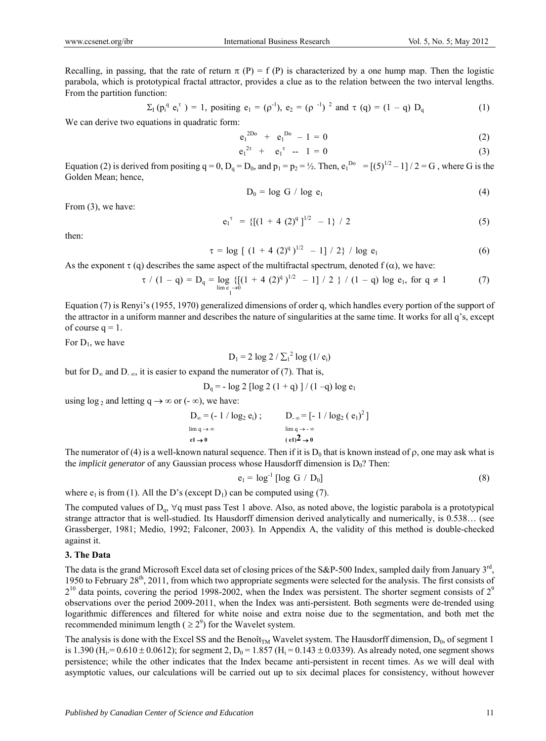Recalling, in passing, that the rate of return  $\pi(P) = f(P)$  is characterized by a one hump map. Then the logistic parabola, which is prototypical fractal attractor, provides a clue as to the relation between the two interval lengths. From the partition function:

$$
\Sigma_{I} (p_{i}^{q} e_{i}^{\tau}) = 1, \text{ positive } e_{1} = (\rho^{-1}), e_{2} = (\rho^{-1})^{2} \text{ and } \tau (q) = (1 - q) D_{q}
$$
 (1)

We can derive two equations in quadratic form:

$$
e_1^{2D_0} + e_1^{D_0} - 1 = 0 \tag{2}
$$

$$
e_1^{2\tau} + e_1^{\tau} - 1 = 0 \tag{3}
$$

Equation (2) is derived from positing  $q = 0$ ,  $D_q = D_0$ , and  $p_1 = p_2 = \frac{1}{2}$ . Then,  $e_1^{D_0} = [(5)^{1/2} - 1]/2 = G$ , where G is the Golden Mean; hence,

$$
D_0 = \log G / \log e_1 \tag{4}
$$

From  $(3)$ , we have:

$$
e_1^{\tau} = \{ [(1 + 4 (2)^q]^{1/2} - 1 \} / 2 \tag{5}
$$

then:

$$
\tau = \log \left[ (1 + 4 (2)^q)^{1/2} - 1 \right] / 2 \} / \log e_1 \tag{6}
$$

As the exponent  $\tau$  (q) describes the same aspect of the multifractal spectrum, denoted  $f(\alpha)$ , we have:

$$
\tau / (1 - q) = D_q = \log_{\frac{1}{2}} \{ [(1 + 4 (2)^q)^{1/2} - 1] / 2 \} / (1 - q) \log e_1, \text{ for } q \neq 1
$$
 (7)

Equation (7) is Renyi's (1955, 1970) generalized dimensions of order q, which handles every portion of the support of the attractor in a uniform manner and describes the nature of singularities at the same time. It works for all q's, except of course  $q = 1$ .

For  $D_1$ , we have

$$
D_1 = 2 \log 2 / \sum_1^2 \log (1 / e_i)
$$

but for  $D_{\infty}$  and  $D_{-\infty}$ , it is easier to expand the numerator of (7). That is,

$$
D_q
$$
 = - log 2 [log 2 (1 + q)] / (1 -q) log e<sub>1</sub>

using  $\log_2$  and letting  $q \to \infty$  or (- $\infty$ ), we have:

$$
D_{\infty} = (-1/\log_2 e_i); \qquad D_{-\infty} = [-1/\log_2 (e_1)^2]
$$
  
\n
$$
\lim_{\rho \to \infty} q \to 0
$$
  
\n
$$
\lim_{\rho \to \infty} q \to -\infty
$$
  
\n
$$
(e_1)^2 \to 0
$$

The numerator of (4) is a well-known natural sequence. Then if it is  $D_0$  that is known instead of  $\rho$ , one may ask what is the *implicit generator* of any Gaussian process whose Hausdorff dimension is  $D_0$ ? Then:

$$
e_1 = \log^{-1} [\log G / D_0]
$$
 (8)

where  $e_1$  is from (1). All the D's (except D<sub>1</sub>) can be computed using (7).

The computed values of  $D_q$ ,  $\forall q$  must pass Test 1 above. Also, as noted above, the logistic parabola is a prototypical strange attractor that is well-studied. Its Hausdorff dimension derived analytically and numerically, is 0.538… (see Grassberger, 1981; Medio, 1992; Falconer, 2003). In Appendix A, the validity of this method is double-checked against it.

#### **3. The Data**

The data is the grand Microsoft Excel data set of closing prices of the S&P-500 Index, sampled daily from January  $3<sup>rd</sup>$ , 1950 to February 28<sup>th</sup>, 2011, from which two appropriate segments were selected for the analysis. The first consists of  $2^{10}$  data points, covering the period 1998-2002, when the Index was persistent. The shorter segment consists of  $2^{\circ}$ observations over the period 2009-2011, when the Index was anti-persistent. Both segments were de-trended using logarithmic differences and filtered for white noise and extra noise due to the segmentation, and both met the recommended minimum length ( $\geq 2^9$ ) for the Wavelet system.

The analysis is done with the Excel SS and the Benoît<sub>TM</sub> Wavelet system. The Hausdorff dimension,  $D_0$ , of segment 1 is 1.390 (H<sub>i</sub> = 0.610 ± 0.0612); for segment 2, D<sub>0</sub> = 1.857 (H<sub>i</sub> = 0.143 ± 0.0339). As already noted, one segment shows persistence; while the other indicates that the Index became anti-persistent in recent times. As we will deal with asymptotic values, our calculations will be carried out up to six decimal places for consistency, without however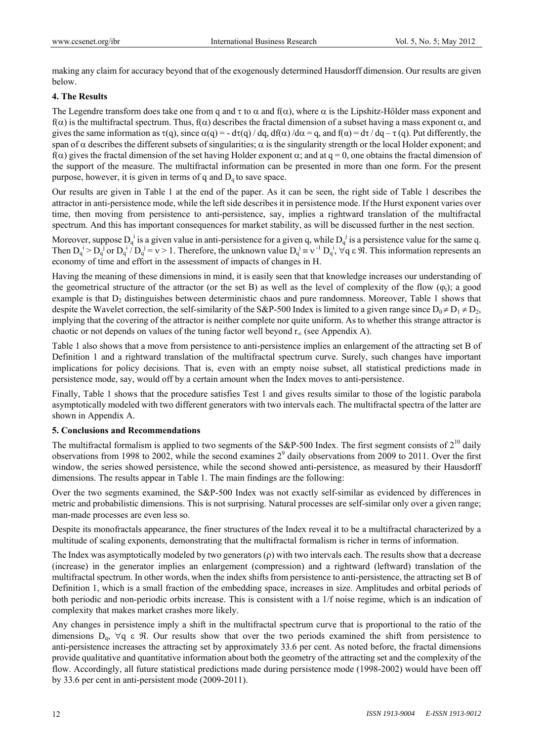making any claim for accuracy beyond that of the exogenously determined Hausdorff dimension. Our results are given below.

## **4. The Results**

The Legendre transform does take one from q and  $\tau$  to  $\alpha$  and  $f(\alpha)$ , where  $\alpha$  is the Lipshitz-Hőlder mass exponent and  $f(\alpha)$  is the multifractal spectrum. Thus,  $f(\alpha)$  describes the fractal dimension of a subset having a mass exponent  $\alpha$ , and gives the same information as  $\tau(q)$ , since  $\alpha(q) = -d\tau(q) / dq$ ,  $df(\alpha) / d\alpha = q$ , and  $f(\alpha) = d\tau / dq - \tau (q)$ . Put differently, the span of  $\alpha$  describes the different subsets of singularities;  $\alpha$  is the singularity strength or the local Holder exponent; and  $f(\alpha)$  gives the fractal dimension of the set having Holder exponent  $\alpha$ ; and at q = 0, one obtains the fractal dimension of the support of the measure. The multifractal information can be presented in more than one form. For the present purpose, however, it is given in terms of q and  $D_q$  to save space.

Our results are given in Table 1 at the end of the paper. As it can be seen, the right side of Table 1 describes the attractor in anti-persistence mode, while the left side describes it in persistence mode. If the Hurst exponent varies over time, then moving from persistence to anti-persistence, say, implies a rightward translation of the multifractal spectrum. And this has important consequences for market stability, as will be discussed further in the nest section.

Moreover, suppose  $D_q^i$  is a given value in anti-persistence for a given q, while  $D_q^j$  is a persistence value for the same q. Then  $D_q^i > D_q^j$  or  $D_q^i / D_q^j = v > 1$ . Therefore, the unknown value  $D_q^j \equiv v^{-1} D_q^i$ ,  $\forall q \in \mathcal{R}$ . This information represents an economy of time and effort in the assessment of impacts of changes in H.

Having the meaning of these dimensions in mind, it is easily seen that that knowledge increases our understanding of the geometrical structure of the attractor (or the set B) as well as the level of complexity of the flow  $(\varphi_t)$ ; a good example is that  $D_2$  distinguishes between deterministic chaos and pure randomness. Moreover, Table 1 shows that despite the Wavelet correction, the self-similarity of the S&P-500 Index is limited to a given range since  $D_0 \neq D_1 \neq D_2$ , implying that the covering of the attractor is neither complete nor quite uniform. As to whether this strange attractor is chaotic or not depends on values of the tuning factor well beyond  $r_{\infty}$  (see Appendix A).

Table 1 also shows that a move from persistence to anti-persistence implies an enlargement of the attracting set B of Definition 1 and a rightward translation of the multifractal spectrum curve. Surely, such changes have important implications for policy decisions. That is, even with an empty noise subset, all statistical predictions made in persistence mode, say, would off by a certain amount when the Index moves to anti-persistence.

Finally, Table 1 shows that the procedure satisfies Test 1 and gives results similar to those of the logistic parabola asymptotically modeled with two different generators with two intervals each. The multifractal spectra of the latter are shown in Appendix A.

### **5. Conclusions and Recommendations**

The multifractal formalism is applied to two segments of the S&P-500 Index. The first segment consists of  $2^{10}$  daily observations from 1998 to 2002, while the second examines  $2<sup>9</sup>$  daily observations from 2009 to 2011. Over the first window, the series showed persistence, while the second showed anti-persistence, as measured by their Hausdorff dimensions. The results appear in Table 1. The main findings are the following:

Over the two segments examined, the S&P-500 Index was not exactly self-similar as evidenced by differences in metric and probabilistic dimensions. This is not surprising. Natural processes are self-similar only over a given range; man-made processes are even less so.

Despite its monofractals appearance, the finer structures of the Index reveal it to be a multifractal characterized by a multitude of scaling exponents, demonstrating that the multifractal formalism is richer in terms of information.

The Index was asymptotically modeled by two generators  $(\rho)$  with two intervals each. The results show that a decrease (increase) in the generator implies an enlargement (compression) and a rightward (leftward) translation of the multifractal spectrum. In other words, when the index shifts from persistence to anti-persistence, the attracting set B of Definition 1, which is a small fraction of the embedding space, increases in size. Amplitudes and orbital periods of both periodic and non-periodic orbits increase. This is consistent with a 1/f noise regime, which is an indication of complexity that makes market crashes more likely.

Any changes in persistence imply a shift in the multifractal spectrum curve that is proportional to the ratio of the dimensions  $D_{\alpha}$ ,  $\forall q \in \mathcal{R}$ . Our results show that over the two periods examined the shift from persistence to anti-persistence increases the attracting set by approximately 33.6 per cent. As noted before, the fractal dimensions provide qualitative and quantitative information about both the geometry of the attracting set and the complexity of the flow. Accordingly, all future statistical predictions made during persistence mode (1998-2002) would have been off by 33.6 per cent in anti-persistent mode (2009-2011).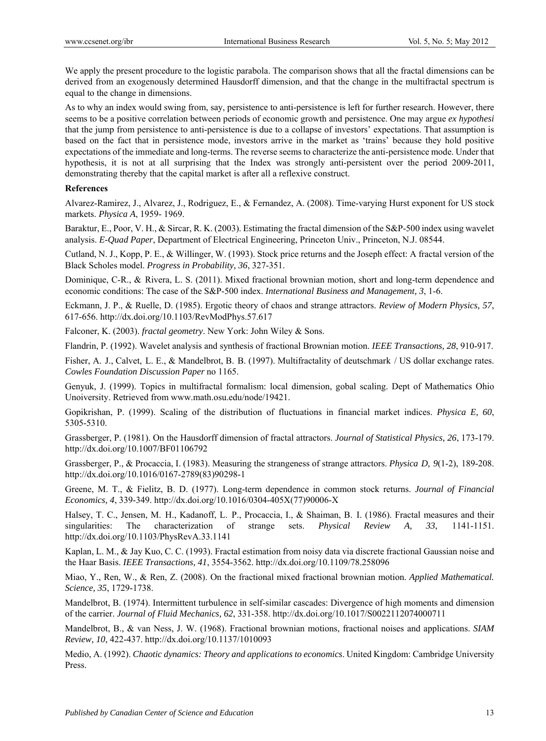We apply the present procedure to the logistic parabola. The comparison shows that all the fractal dimensions can be derived from an exogenously determined Hausdorff dimension, and that the change in the multifractal spectrum is equal to the change in dimensions.

As to why an index would swing from, say, persistence to anti-persistence is left for further research. However, there seems to be a positive correlation between periods of economic growth and persistence. One may argue *ex hypothesi* that the jump from persistence to anti-persistence is due to a collapse of investors' expectations. That assumption is based on the fact that in persistence mode, investors arrive in the market as 'trains' because they hold positive expectations of the immediate and long-terms. The reverse seems to characterize the anti-persistence mode. Under that hypothesis, it is not at all surprising that the Index was strongly anti-persistent over the period 2009-2011, demonstrating thereby that the capital market is after all a reflexive construct.

#### **References**

Alvarez-Ramirez, J., Alvarez, J., Rodriguez, E., & Fernandez, A. (2008). Time-varying Hurst exponent for US stock markets. *Physica A*, 1959- 1969.

Baraktur, E., Poor, V. H., & Sircar, R. K. (2003). Estimating the fractal dimension of the S&P-500 index using wavelet analysis. *E-Quad Paper*, Department of Electrical Engineering, Princeton Univ., Princeton, N.J. 08544.

Cutland, N. J., Kopp, P. E., & Willinger, W. (1993). Stock price returns and the Joseph effect: A fractal version of the Black Scholes model. *Progress in Probability, 36*, 327-351.

Dominique, C-R., & Rivera, L. S. (2011). Mixed fractional brownian motion, short and long-term dependence and economic conditions: The case of the S&P-500 index. *International Business and Management, 3*, 1-6.

Eckmann, J. P., & Ruelle, D. (1985). Ergotic theory of chaos and strange attractors. *Review of Modern Physics, 57*, 617-656. http://dx.doi.org/10.1103/RevModPhys.57.617

Falconer, K. (2003). *fractal geometry*. New York: John Wiley & Sons.

Flandrin, P. (1992). Wavelet analysis and synthesis of fractional Brownian motion. *IEEE Transactions, 28*, 910-917.

Fisher, A. J., Calvet, L. E., & Mandelbrot, B. B. (1997). Multifractality of deutschmark / US dollar exchange rates. *Cowles Foundation Discussion Paper* no 1165.

Genyuk, J. (1999). Topics in multifractal formalism: local dimension, gobal scaling. Dept of Mathematics Ohio Unoiversity. Retrieved from www.math.osu.edu/node/19421.

Gopikrishan, P. (1999). Scaling of the distribution of fluctuations in financial market indices. *Physica E, 60*, 5305-5310.

Grassberger, P. (1981). On the Hausdorff dimension of fractal attractors. *Journal of Statistical Physics, 26*, 173-179. http://dx.doi.org/10.1007/BF01106792

Grassberger, P., & Procaccia, I. (1983). Measuring the strangeness of strange attractors. *Physica D, 9*(1-2), 189-208. http://dx.doi.org/10.1016/0167-2789(83)90298-1

Greene, M. T., & Fielitz, B. D. (1977). Long-term dependence in common stock returns. *Journal of Financial Economics, 4*, 339-349. http://dx.doi.org/10.1016/0304-405X(77)90006-X

Halsey, T. C., Jensen, M. H., Kadanoff, L. P., Procaccia, I., & Shaiman, B. I. (1986). Fractal measures and their singularities: The characterization of strange sets. *Physical Review A, 33*, 1141-1151. http://dx.doi.org/10.1103/PhysRevA.33.1141

Kaplan, L. M., & Jay Kuo, C. C. (1993). Fractal estimation from noisy data via discrete fractional Gaussian noise and the Haar Basis. *IEEE Transactions, 41*, 3554-3562. http://dx.doi.org/10.1109/78.258096

Miao, Y., Ren, W., & Ren, Z. (2008). On the fractional mixed fractional brownian motion. *Applied Mathematical. Science, 35*, 1729-1738.

Mandelbrot, B. (1974). Intermittent turbulence in self-similar cascades: Divergence of high moments and dimension of the carrier. *Journal of Fluid Mechanics, 62*, 331-358. http://dx.doi.org/10.1017/S0022112074000711

Mandelbrot, B., & van Ness, J. W. (1968). Fractional brownian motions, fractional noises and applications. *SIAM Review, 10*, 422-437. http://dx.doi.org/10.1137/1010093

Medio, A. (1992). *Chaotic dynamics: Theory and applications to economics*. United Kingdom: Cambridge University Press.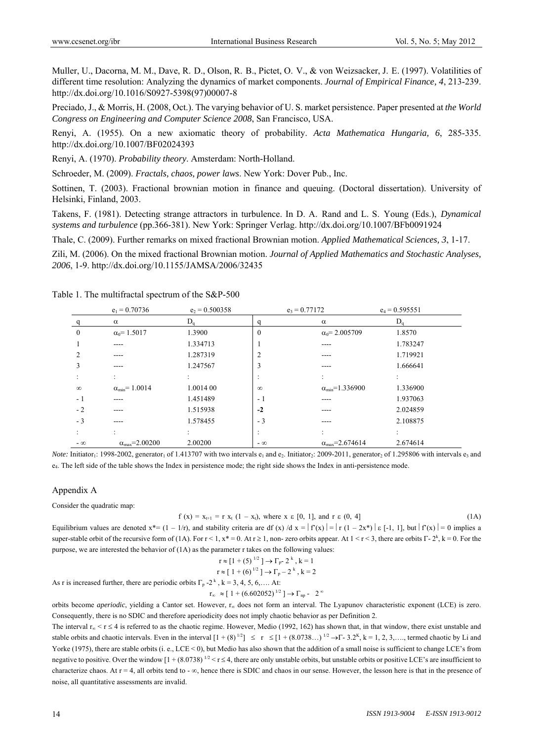Muller, U., Dacorna, M. M., Dave, R. D., Olson, R. B., Pictet, O. V., & von Weizsacker, J. E. (1997). Volatilities of different time resolution: Analyzing the dynamics of market components. *Journal of Empirical Finance, 4*, 213-239. http://dx.doi.org/10.1016/S0927-5398(97)00007-8

Preciado, J., & Morris, H. (2008, Oct.). The varying behavior of U. S. market persistence. Paper presented at *the World Congress on Engineering and Computer Science 2008*, San Francisco, USA.

Renyi, A. (1955). On a new axiomatic theory of probability. *Acta Mathematica Hungaria, 6*, 285-335. http://dx.doi.org/10.1007/BF02024393

Renyi, A. (1970). *Probability theory*. Amsterdam: North-Holland.

Schroeder, M. (2009). *Fractals, chaos, power laws*. New York: Dover Pub., Inc.

Sottinen, T. (2003). Fractional brownian motion in finance and queuing. (Doctoral dissertation). University of Helsinki, Finland, 2003.

Takens, F. (1981). Detecting strange attractors in turbulence. In D. A. Rand and L. S. Young (Eds.), *Dynamical systems and turbulence* (pp.366-381). New York: Springer Verlag. http://dx.doi.org/10.1007/BFb0091924

Thale, C. (2009). Further remarks on mixed fractional Brownian motion. *Applied Mathematical Sciences, 3*, 1-17.

Zili, M. (2006). On the mixed fractional Brownian motion. *Journal of Applied Mathematics and Stochastic Analyses, 2006*, 1-9. http://dx.doi.org/10.1155/JAMSA/2006/32435

|           | $e_1 = 0.70736$                 | $e_2 = 0.500358$ |              | $e_3 = 0.77172$                  | $e_4 = 0.595551$ |
|-----------|---------------------------------|------------------|--------------|----------------------------------|------------------|
|           | $\alpha$                        | $D_{q}$          | q            | $\alpha$                         | $D_{q}$          |
| $\theta$  | $\alpha_0 = 1.5017$             | 1.3900           | $\mathbf{0}$ | $\alpha_0 = 2.005709$            | 1.8570           |
|           | ----                            | 1.334713         |              |                                  | 1.783247         |
| っ         | ----                            | 1.287319         | 2            |                                  | 1.719921         |
| 3         | ----                            | 1.247567         | 3            |                                  | 1.666641         |
|           |                                 |                  |              |                                  |                  |
| $\infty$  | $\alpha_{\min} = 1.0014$        | 1.0014 00        | $\infty$     | $\alpha_{\text{min}} = 1.336900$ | 1.336900         |
| - 1       |                                 | 1.451489         | - 1          |                                  | 1.937063         |
| $-2$      |                                 | 1.515938         | $-2$         |                                  | 2.024859         |
| $-3$      |                                 | 1.578455         | $-3$         |                                  | 2.108875         |
|           |                                 |                  |              |                                  |                  |
| $-\infty$ | $\alpha_{\text{max}} = 2.00200$ | 2.00200          | $-\infty$    | $\alpha_{\text{max}} = 2.674614$ | 2.674614         |

Table 1. The multifractal spectrum of the S&P-500

*Note:* Initiator<sub>1</sub>: 1998-2002, generator<sub>1</sub> of 1.413707 with two intervals  $e_1$  and  $e_2$ . Initiator<sub>2</sub>: 2009-2011, generator<sub>2</sub> of 1.295806 with intervals  $e_3$  and e4. The left side of the table shows the Index in persistence mode; the right side shows the Index in anti-persistence mode.

#### Appendix A

Consider the quadratic map:

$$
f(x) = x_{t+1} = r x_t (1 - x_t)
$$
, where  $x \in [0, 1]$ , and  $r \in (0, 4]$  (1A)

Equilibrium values are denoted  $x^*=(1-1/r)$ , and stability criteria are df (x) /d  $x = |f'(x)| = |x(1-2x^*)|$   $\epsilon$  [-1, 1], but  $|f'(x)| = 0$  implies a super-stable orbit of the recursive form of (1A). For  $r < 1$ ,  $x^* = 0$ . At  $r \ge 1$ , non-zero orbits appear. At  $1 < r < 3$ , there are orbits  $\Gamma$ - $2^k$ ,  $k = 0$ . For the purpose, we are interested the behavior of (1A) as the parameter r takes on the following values:

$$
r \approx [1 + (5)^{1/2}] \rightarrow \Gamma_p - 2^k, k = 1
$$
  
\n
$$
r \approx [1 + (6)^{1/2}] \rightarrow \Gamma_p - 2^k, k = 2
$$
  
\nAs r is increased further, there are periodic orbits  $\Gamma_p - 2^k, k = 3, 4, 5, 6, \dots$  At:

$$
r_{\infty} \approx [1 + (6.602052)^{1/2}] \rightarrow \Gamma_{\text{np}} - 2^{\infty}
$$

orbits become *aperiodic*, yielding a Cantor set. However, r<sub>ox</sub> does not form an interval. The Lyapunov characteristic exponent (LCE) is zero. Consequently, there is no SDIC and therefore aperiodicity does not imply chaotic behavior as per Definition 2.

The interval  $r_{\infty} < r \le 4$  is referred to as the chaotic regime. However, Medio (1992, 162) has shown that, in that window, there exist unstable and stable orbits and chaotic intervals. Even in the interval  $[1 + (8)^{1/2}] \le r \le [1 + (8.0738...)^{1/2} \rightarrow F - 3.2^{\text{K}}, k = 1, 2, 3, \dots]$ , termed chaotic by Li and Yorke (1975), there are stable orbits (i. e., LCE < 0), but Medio has also shown that the addition of a small noise is sufficient to change LCE's from negative to positive. Over the window  $[1 + (8.0738)^{1/2} < r \le 4$ , there are only unstable orbits, but unstable orbits or positive LCE's are insufficient to characterize chaos. At  $r = 4$ , all orbits tend to - $\infty$ , hence there is SDIC and chaos in our sense. However, the lesson here is that in the presence of noise, all quantitative assessments are invalid.